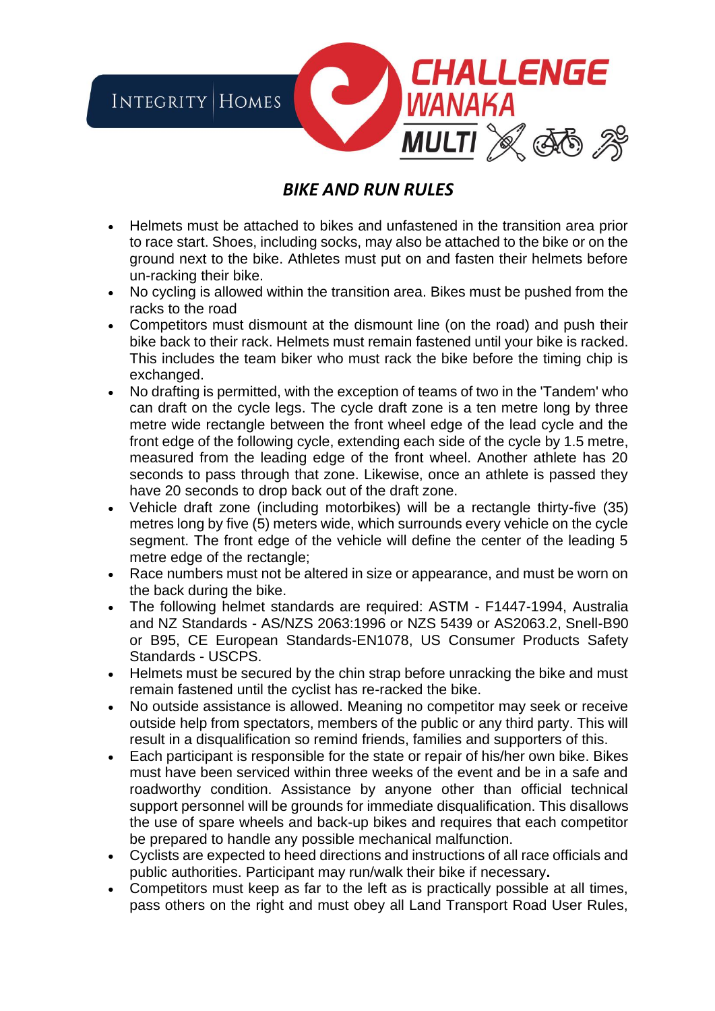

## *BIKE AND RUN RULES*

- Helmets must be attached to bikes and unfastened in the transition area prior to race start. Shoes, including socks, may also be attached to the bike or on the ground next to the bike. Athletes must put on and fasten their helmets before un-racking their bike.
- No cycling is allowed within the transition area. Bikes must be pushed from the racks to the road
- Competitors must dismount at the dismount line (on the road) and push their bike back to their rack. Helmets must remain fastened until your bike is racked. This includes the team biker who must rack the bike before the timing chip is exchanged.
- No drafting is permitted, with the exception of teams of two in the 'Tandem' who can draft on the cycle legs. The cycle draft zone is a ten metre long by three metre wide rectangle between the front wheel edge of the lead cycle and the front edge of the following cycle, extending each side of the cycle by 1.5 metre, measured from the leading edge of the front wheel. Another athlete has 20 seconds to pass through that zone. Likewise, once an athlete is passed they have 20 seconds to drop back out of the draft zone.
- Vehicle draft zone (including motorbikes) will be a rectangle thirty-five (35) metres long by five (5) meters wide, which surrounds every vehicle on the cycle segment. The front edge of the vehicle will define the center of the leading 5 metre edge of the rectangle;
- Race numbers must not be altered in size or appearance, and must be worn on the back during the bike.
- The following helmet standards are required: ASTM F1447-1994, Australia and NZ Standards - AS/NZS 2063:1996 or NZS 5439 or AS2063.2, Snell-B90 or B95, CE European Standards-EN1078, US Consumer Products Safety Standards - USCPS.
- Helmets must be secured by the chin strap before unracking the bike and must remain fastened until the cyclist has re-racked the bike.
- No outside assistance is allowed. Meaning no competitor may seek or receive outside help from spectators, members of the public or any third party. This will result in a disqualification so remind friends, families and supporters of this.
- Each participant is responsible for the state or repair of his/her own bike. Bikes must have been serviced within three weeks of the event and be in a safe and roadworthy condition. Assistance by anyone other than official technical support personnel will be grounds for immediate disqualification. This disallows the use of spare wheels and back-up bikes and requires that each competitor be prepared to handle any possible mechanical malfunction.
- Cyclists are expected to heed directions and instructions of all race officials and public authorities. Participant may run/walk their bike if necessary**.**
- Competitors must keep as far to the left as is practically possible at all times, pass others on the right and must obey all Land Transport Road User Rules,